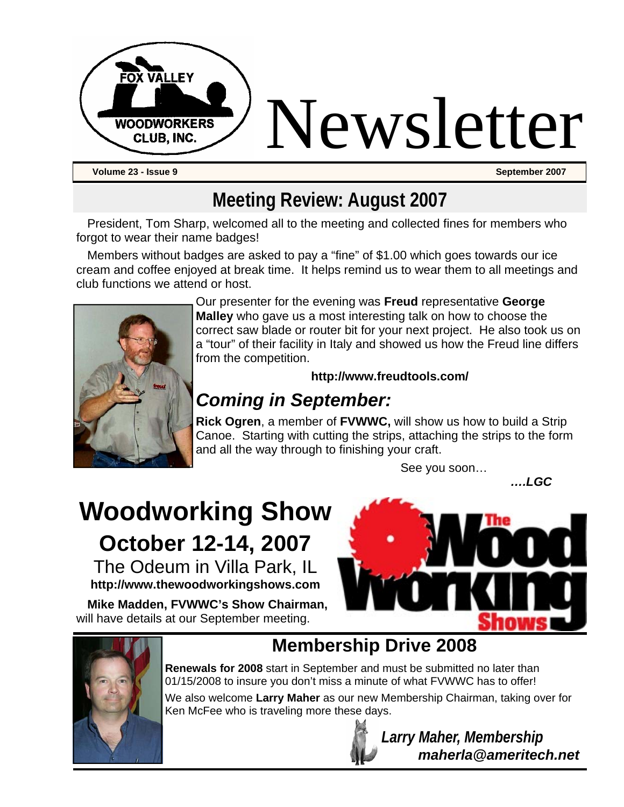

# **Meeting Review: August 2007**

President, Tom Sharp, welcomed all to the meeting and collected fines for members who forgot to wear their name badges!

Members without badges are asked to pay a "fine" of \$1.00 which goes towards our ice cream and coffee enjoyed at break time. It helps remind us to wear them to all meetings and club functions we attend or host.



Our presenter for the evening was **Freud** representative **George Malley** who gave us a most interesting talk on how to choose the correct saw blade or router bit for your next project. He also took us on a "tour" of their facility in Italy and showed us how the Freud line differs from the competition.

#### **http://www.freudtools.com/**

# *Coming in September:*

**Rick Ogren**, a member of **FVWWC,** will show us how to build a Strip Canoe. Starting with cutting the strips, attaching the strips to the form and all the way through to finishing your craft.

See you soon…

*….LGC* 

# **Woodworking Show October 12-14, 2007**

The Odeum in Villa Park, IL **http://www.thewoodworkingshows.com** 

**Mike Madden, FVWWC's Show Chairman,**  will have details at our September meeting.





# **Membership Drive 2008**

**Renewals for 2008** start in September and must be submitted no later than 01/15/2008 to insure you don't miss a minute of what FVWWC has to offer!

We also welcome **Larry Maher** as our new Membership Chairman, taking over for Ken McFee who is traveling more these days.



 *Larry Maher, Membership maherla@ameritech.net*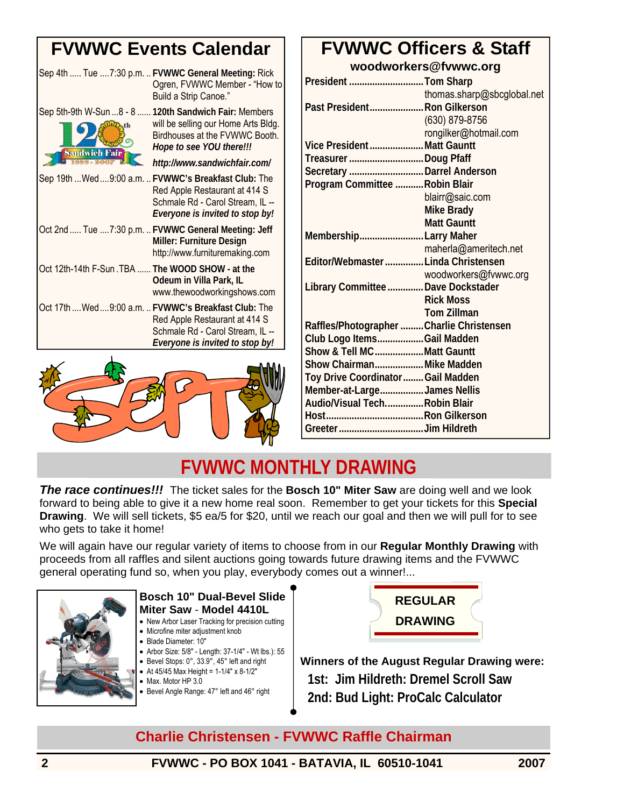# **FVWWC Events Calendar**

|                                                  | Sep 4th  Tue 7:30 p.m.  FVWWC General Meeting: Rick<br>Ogren, FVWWC Member - "How to<br>Build a Strip Canoe."                                                                               |
|--------------------------------------------------|---------------------------------------------------------------------------------------------------------------------------------------------------------------------------------------------|
| <b>Sandwich Fair</b>                             | Sep 5th-9th W-Sun  8 - 8  120th Sandwich Fair: Members<br>will be selling our Home Arts Bldg.<br>Birdhouses at the FVWWC Booth.<br>Hope to see YOU there!!!<br>http://www.sandwichfair.com/ |
|                                                  | Sep 19th  Wed  9:00 a.m.  FVWWC's Breakfast Club: The<br>Red Apple Restaurant at 414 S<br>Schmale Rd - Carol Stream, IL --<br>Everyone is invited to stop by!                               |
|                                                  | Oct 2nd  Tue  7:30 p.m.  FVWWC General Meeting: Jeff<br>Miller: Furniture Design<br>http://www.furnituremaking.com                                                                          |
| Oct 12th-14th F-Sun. TBA  The WOOD SHOW - at the | Odeum in Villa Park, IL<br>www.thewoodworkingshows.com                                                                                                                                      |
|                                                  | Oct 17th  Wed  9:00 a.m.  FVWWC's Breakfast Club: The<br>Red Apple Restaurant at 414 S<br>Schmale Rd - Carol Stream, IL --<br>Everyone is invited to stop by!                               |



#### **FVWWC Officers & Staff woodworkers@fvwwc.org**

| President Tom Sharp                      |
|------------------------------------------|
| thomas.sharp@sbcglobal.net               |
| Past President Ron Gilkerson             |
| (630) 879-8756                           |
| rongilker@hotmail.com                    |
| Vice PresidentMatt Gauntt                |
| Treasurer Doug Pfaff                     |
| Secretary Darrel Anderson                |
| Program Committee Robin Blair            |
| blairr@saic.com                          |
| <b>Mike Brady</b>                        |
| <b>Matt Gauntt</b>                       |
| MembershipLarry Maher                    |
| maherla@ameritech.net                    |
| Editor/Webmaster  Linda Christensen      |
| woodworkers@fvwwc.org                    |
| Library Committee  Dave Dockstader       |
| <b>Rick Moss</b>                         |
| <b>Tom Zillman</b>                       |
| Raffles/Photographer Charlie Christensen |
| Club Logo ItemsGail Madden               |
| Show & Tell MCMatt Gauntt                |
| Show ChairmanMike Madden                 |
| Toy Drive Coordinator  Gail Madden       |
| Member-at-LargeJames Nellis              |
| Audio/Visual TechRobin Blair             |
|                                          |
|                                          |
|                                          |

# **FVWWC MONTHLY DRAWING**

*The race continues!!!* The ticket sales for the **Bosch 10" Miter Saw** are doing well and we look forward to being able to give it a new home real soon. Remember to get your tickets for this **Special Drawing**. We will sell tickets, \$5 ea/5 for \$20, until we reach our goal and then we will pull for to see who gets to take it home!

We will again have our regular variety of items to choose from in our **Regular Monthly Drawing** with proceeds from all raffles and silent auctions going towards future drawing items and the FVWWC general operating fund so, when you play, everybody comes out a winner!...



#### **Bosch 10" Dual-Bevel Slide Miter Saw** - **Model 4410L**

- New Arbor Laser Tracking for precision cutting
- Microfine miter adjustment knob
- Blade Diameter: 10″
- Arbor Size: 5/8″ Length: 37-1/4″ Wt lbs.): 55
- Bevel Stops: 0°, 33.9°, 45° left and right • At  $45/45$  Max Height =  $1-1/4$ " x  $8-1/2$ "
- Max. Motor HP 3.0
- Bevel Angle Range: 47° left and 46° right
- 



**Winners of the August Regular Drawing were: 1st: Jim Hildreth: Dremel Scroll Saw 2nd: Bud Light: ProCalc Calculator**

#### **Charlie Christensen - FVWWC Raffle Chairman**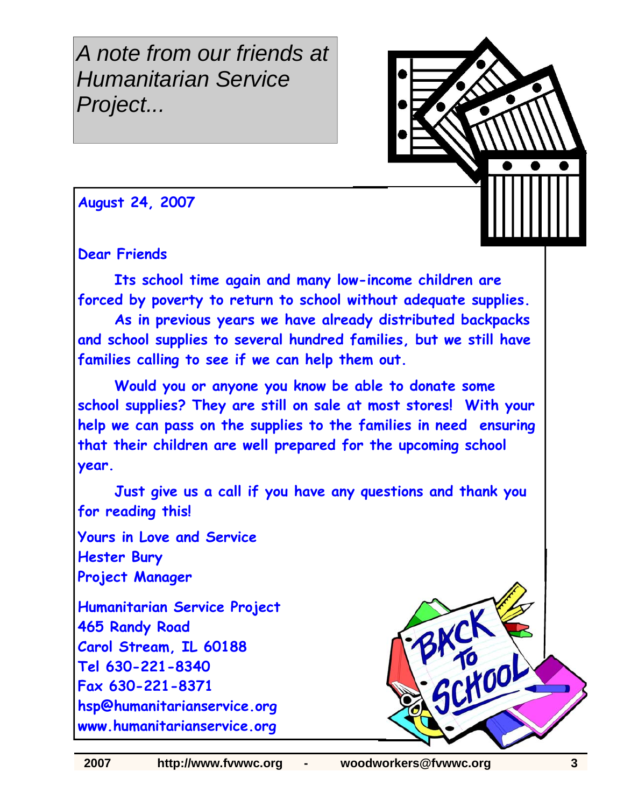*A note from our friends at Humanitarian Service Project...* 



**August 24, 2007** 

**Dear Friends**

 **Its school time again and many low-income children are forced by poverty to return to school without adequate supplies.** 

 **As in previous years we have already distributed backpacks and school supplies to several hundred families, but we still have families calling to see if we can help them out.**

 **Would you or anyone you know be able to donate some school supplies? They are still on sale at most stores! With your help we can pass on the supplies to the families in need ensuring that their children are well prepared for the upcoming school year.**

 **Just give us a call if you have any questions and thank you for reading this!**

**Yours in Love and Service Hester Bury Project Manager** 

**Humanitarian Service Project 465 Randy Road Carol Stream, IL 60188 Tel 630-221-8340 Fax 630-221-8371 hsp@humanitarianservice.org www.humanitarianservice.org**

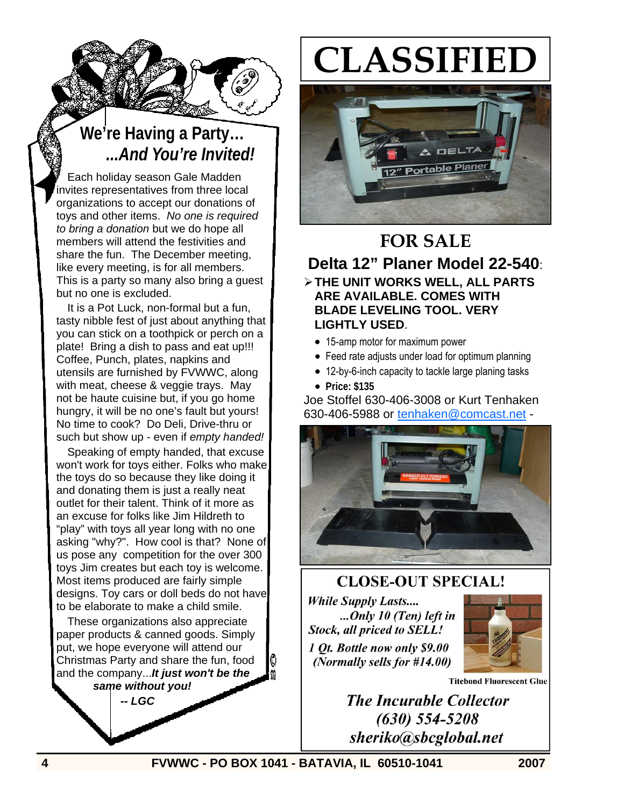

# **We're Having a Party…** *...And You're Invited!*

Each holiday season Gale Madden invites representatives from three local organizations to accept our donations of toys and other items. *No one is required to bring a donation* but we do hope all members will attend the festivities and share the fun. The December meeting, like every meeting, is for all members. This is a party so many also bring a guest but no one is excluded.

It is a Pot Luck, non-formal but a fun, tasty nibble fest of just about anything that you can stick on a toothpick or perch on a plate! Bring a dish to pass and eat up!!! Coffee, Punch, plates, napkins and utensils are furnished by FVWWC, along with meat, cheese & veggie trays. May not be haute cuisine but, if you go home hungry, it will be no one's fault but yours! No time to cook? Do Deli, Drive-thru or such but show up - even if *empty handed!*

Speaking of empty handed, that excuse won't work for toys either. Folks who make the toys do so because they like doing it and donating them is just a really neat outlet for their talent. Think of it more as an excuse for folks like Jim Hildreth to "play" with toys all year long with no one asking "why?". How cool is that? None of us pose any competition for the over 300 toys Jim creates but each toy is welcome. Most items produced are fairly simple designs. Toy cars or doll beds do not have to be elaborate to make a child smile.

These organizations also appreciate paper products & canned goods. Simply put, we hope everyone will attend our Christmas Party and share the fun, food and the company...*It just won't be the same without you!* 

 *-- LGC* 

# **CLASSIFIED**



# **FOR SALE**

**Delta 12" Planer Model 22-540**: ¾ **THE UNIT WORKS WELL, ALL PARTS ARE AVAILABLE. COMES WITH BLADE LEVELING TOOL. VERY LIGHTLY USED**.

- 15-amp motor for maximum power
- Feed rate adjusts under load for optimum planning
- 12-by-6-inch capacity to tackle large planing tasks
- **Price: \$135**

Joe Stoffel 630-406-3008 or Kurt Tenhaken 630-406-5988 or tenhaken@comcast.net -



# **CLOSE-OUT SPECIAL! While Supply Lasts....**

...Only 10 (Ten) left in **Stock, all priced to SELL!** 1 Ot. Bottle now only \$9.00 (Normally sells for #14.00)



**Titebond Fluorescent Glue** 

**The Incurable Collector**  $(630)$  554-5208 sheriko@sbcglobal.net

**4 FVWWC - PO BOX 1041 - BATAVIA, IL 60510-1041 2007**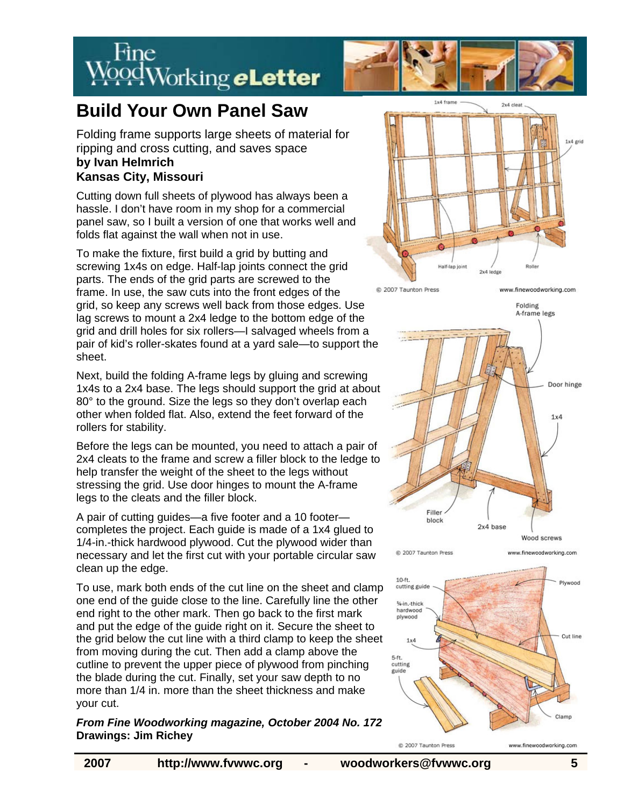



# **Build Your Own Panel Saw**

Folding frame supports large sheets of material for ripping and cross cutting, and saves space **by Ivan Helmrich Kansas City, Missouri** 

Cutting down full sheets of plywood has always been a hassle. I don't have room in my shop for a commercial panel saw, so I built a version of one that works well and folds flat against the wall when not in use.

To make the fixture, first build a grid by butting and screwing 1x4s on edge. Half-lap joints connect the grid parts. The ends of the grid parts are screwed to the frame. In use, the saw cuts into the front edges of the grid, so keep any screws well back from those edges. Use lag screws to mount a 2x4 ledge to the bottom edge of the grid and drill holes for six rollers—I salvaged wheels from a pair of kid's roller-skates found at a yard sale—to support the sheet.

Next, build the folding A-frame legs by gluing and screwing 1x4s to a 2x4 base. The legs should support the grid at about 80° to the ground. Size the legs so they don't overlap each other when folded flat. Also, extend the feet forward of the rollers for stability.

Before the legs can be mounted, you need to attach a pair of 2x4 cleats to the frame and screw a filler block to the ledge to help transfer the weight of the sheet to the legs without stressing the grid. Use door hinges to mount the A-frame legs to the cleats and the filler block.

A pair of cutting guides—a five footer and a 10 footer completes the project. Each guide is made of a 1x4 glued to 1/4-in.-thick hardwood plywood. Cut the plywood wider than necessary and let the first cut with your portable circular saw clean up the edge.

To use, mark both ends of the cut line on the sheet and clamp one end of the guide close to the line. Carefully line the other end right to the other mark. Then go back to the first mark and put the edge of the guide right on it. Secure the sheet to the grid below the cut line with a third clamp to keep the sheet from moving during the cut. Then add a clamp above the cutline to prevent the upper piece of plywood from pinching the blade during the cut. Finally, set your saw depth to no more than 1/4 in. more than the sheet thickness and make your cut.

#### *From Fine Woodworking magazine, October 2004 No. 172*  **Drawings: Jim Richey**



@ 2007 Taunton Press

www.finewoodworking.com Folding

www.finewoodworking.com





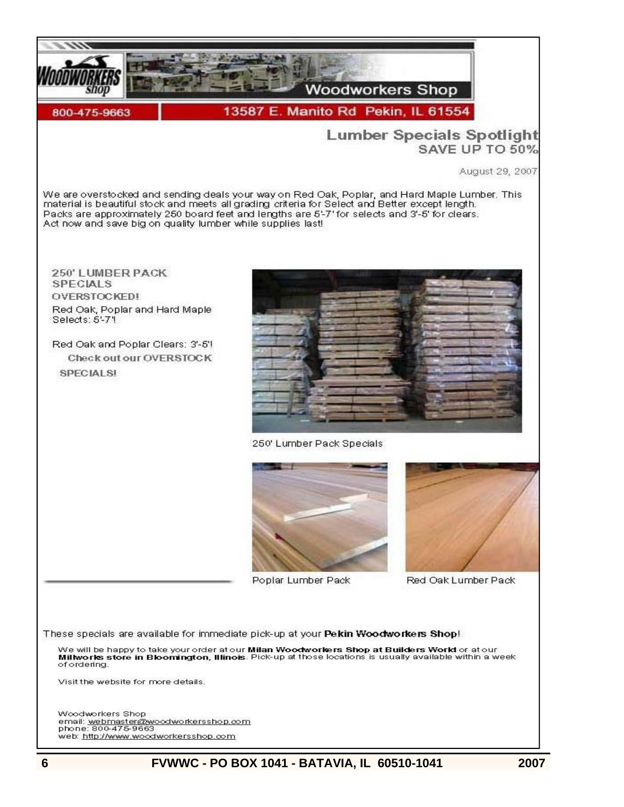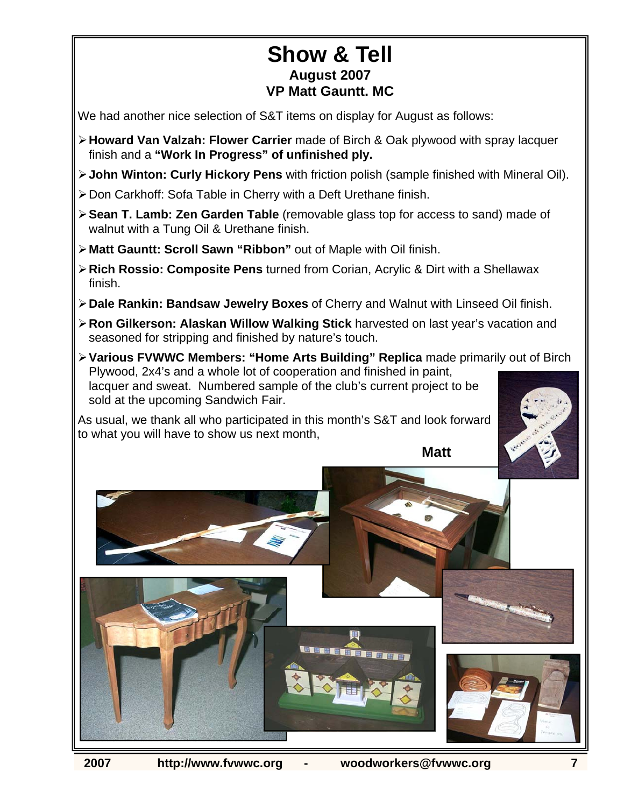### **Show & Tell August 2007 VP Matt Gauntt. MC**

We had another nice selection of S&T items on display for August as follows:

- ¾ **Howard Van Valzah: Flower Carrier** made of Birch & Oak plywood with spray lacquer finish and a **"Work In Progress" of unfinished ply.**
- ¾ **John Winton: Curly Hickory Pens** with friction polish (sample finished with Mineral Oil).
- ¾ Don Carkhoff: Sofa Table in Cherry with a Deft Urethane finish.
- ¾ **Sean T. Lamb: Zen Garden Table** (removable glass top for access to sand) made of walnut with a Tung Oil & Urethane finish.
- ¾ **Matt Gauntt: Scroll Sawn "Ribbon"** out of Maple with Oil finish.
- ¾ **Rich Rossio: Composite Pens** turned from Corian, Acrylic & Dirt with a Shellawax finish.
- ¾ **Dale Rankin: Bandsaw Jewelry Boxes** of Cherry and Walnut with Linseed Oil finish.
- ¾ **Ron Gilkerson: Alaskan Willow Walking Stick** harvested on last year's vacation and seasoned for stripping and finished by nature's touch.
- ¾ **Various FVWWC Members: "Home Arts Building" Replica** made primarily out of Birch Plywood, 2x4's and a whole lot of cooperation and finished in paint, lacquer and sweat. Numbered sample of the club's current project to be sold at the upcoming Sandwich Fair.

As usual, we thank all who participated in this month's S&T and look forward to what you will have to show us next month,



**Matt**